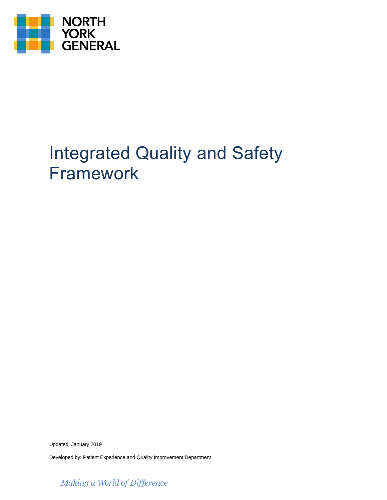

# Integrated Quality and Safety Framework

Updated: January 2019

Developed by: Patient Experience and Quality Improvement Department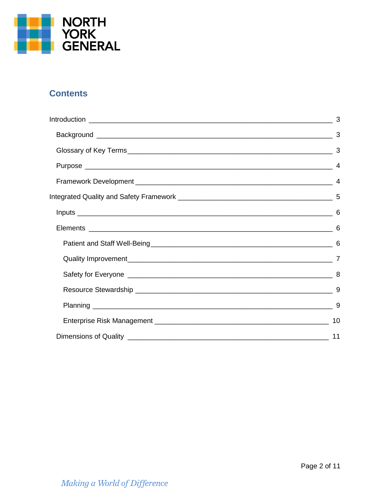

## **Contents**

| 3  |
|----|
|    |
| 3  |
|    |
|    |
|    |
|    |
| 6  |
| -6 |
|    |
|    |
| 9  |
| 9  |
| 10 |
| 11 |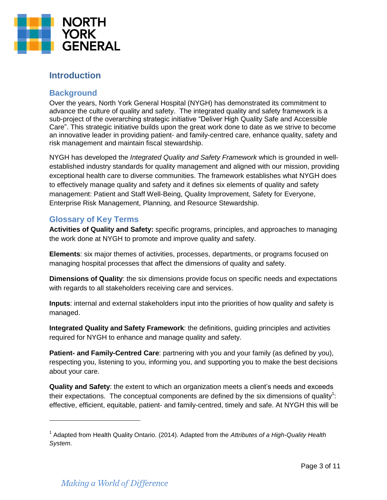

## <span id="page-2-0"></span>**Introduction**

### <span id="page-2-1"></span>**Background**

Over the years, North York General Hospital (NYGH) has demonstrated its commitment to advance the culture of quality and safety. The integrated quality and safety framework is a sub-project of the overarching strategic initiative "Deliver High Quality Safe and Accessible Care". This strategic initiative builds upon the great work done to date as we strive to become an innovative leader in providing patient- and family-centred care, enhance quality, safety and risk management and maintain fiscal stewardship.

NYGH has developed the *Integrated Quality and Safety Framework* which is grounded in wellestablished industry standards for quality management and aligned with our mission, providing exceptional health care to diverse communities. The framework establishes what NYGH does to effectively manage quality and safety and it defines six elements of quality and safety management: Patient and Staff Well-Being, Quality Improvement, Safety for Everyone, Enterprise Risk Management, Planning, and Resource Stewardship.

#### <span id="page-2-2"></span>**Glossary of Key Terms**

**Activities of Quality and Safety:** specific programs, principles, and approaches to managing the work done at NYGH to promote and improve quality and safety.

**Elements**: six major themes of activities, processes, departments, or programs focused on managing hospital processes that affect the dimensions of quality and safety.

**Dimensions of Quality**: the six dimensions provide focus on specific needs and expectations with regards to all stakeholders receiving care and services.

**Inputs**: internal and external stakeholders input into the priorities of how quality and safety is managed.

**Integrated Quality and Safety Framework**: the definitions, guiding principles and activities required for NYGH to enhance and manage quality and safety.

**Patient- and Family-Centred Care**: partnering with you and your family (as defined by you), respecting you, listening to you, informing you, and supporting you to make the best decisions about your care.

**Quality and Safety**: the extent to which an organization meets a client's needs and exceeds their expectations. The conceptual components are defined by the six dimensions of quality<sup>1</sup>: effective, efficient, equitable, patient- and family-centred, timely and safe. At NYGH this will be

<sup>1</sup> Adapted from Health Quality Ontario. (2014). Adapted from the *Attributes of a High-Quality Health System*.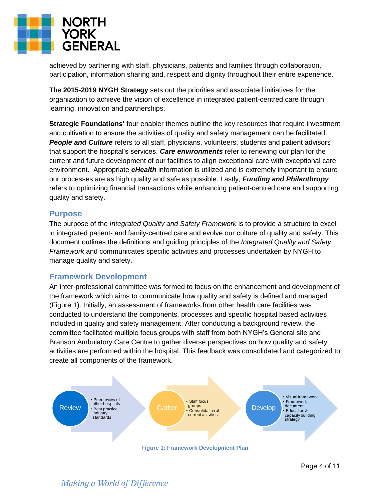

achieved by partnering with staff, physicians, patients and families through collaboration, participation, information sharing and, respect and dignity throughout their entire experience.

The **2015-2019 NYGH Strategy** sets out the priorities and associated initiatives for the organization to achieve the vision of excellence in integrated patient-centred care through learning, innovation and partnerships.

**Strategic Foundations'** four enabler themes outline the key resources that require investment and cultivation to ensure the activities of quality and safety management can be facilitated. **People and Culture** refers to all staff, physicians, volunteers, students and patient advisors that support the hospital's services. *Care environments* refer to renewing our plan for the current and future development of our facilities to align exceptional care with exceptional care environment. Appropriate *eHealth* information is utilized and is extremely important to ensure our processes are as high quality and safe as possible. Lastly, *Funding and Philanthropy* refers to optimizing financial transactions while enhancing patient-centred care and supporting quality and safety.

#### <span id="page-3-0"></span>**Purpose**

The purpose of the *Integrated Quality and Safety Framework* is to provide a structure to excel in integrated patient- and family-centred care and evolve our culture of quality and safety. This document outlines the definitions and guiding principles of the *Integrated Quality and Safety Framework* and communicates specific activities and processes undertaken by NYGH to manage quality and safety.

#### <span id="page-3-1"></span>**Framework Development**

An inter-professional committee was formed to focus on the enhancement and development of the framework which aims to communicate how quality and safety is defined and managed (Figure 1). Initially, an assessment of frameworks from other health care facilities was conducted to understand the components, processes and specific hospital based activities included in quality and safety management. After conducting a background review, the committee facilitated multiple focus groups with staff from both NYGH's General site and Branson Ambulatory Care Centre to gather diverse perspectives on how quality and safety activities are performed within the hospital. This feedback was consolidated and categorized to create all components of the framework.

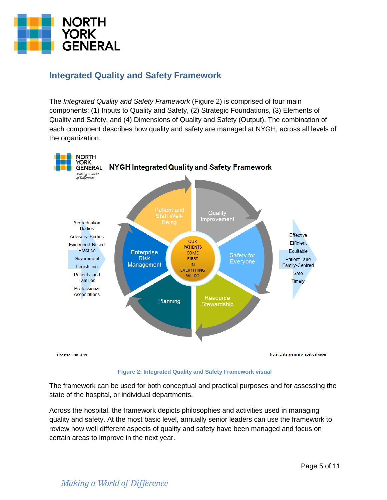

## <span id="page-4-0"></span>**Integrated Quality and Safety Framework**

The *Integrated Quality and Safety Framework* (Figure 2) is comprised of four main components: (1) Inputs to Quality and Safety, (2) Strategic Foundations, (3) Elements of Quality and Safety, and (4) Dimensions of Quality and Safety (Output). The combination of each component describes how quality and safety are managed at NYGH, across all levels of the organization.



**Figure 2: Integrated Quality and Safety Framework visual**

The framework can be used for both conceptual and practical purposes and for assessing the state of the hospital, or individual departments.

Across the hospital, the framework depicts philosophies and activities used in managing quality and safety. At the most basic level, annually senior leaders can use the framework to review how well different aspects of quality and safety have been managed and focus on certain areas to improve in the next year.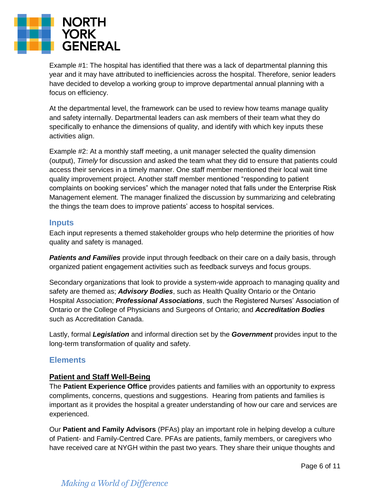

Example #1: The hospital has identified that there was a lack of departmental planning this year and it may have attributed to inefficiencies across the hospital. Therefore, senior leaders have decided to develop a working group to improve departmental annual planning with a focus on efficiency.

At the departmental level, the framework can be used to review how teams manage quality and safety internally. Departmental leaders can ask members of their team what they do specifically to enhance the dimensions of quality, and identify with which key inputs these activities align.

Example #2: At a monthly staff meeting, a unit manager selected the quality dimension (output), *Timely* for discussion and asked the team what they did to ensure that patients could access their services in a timely manner. One staff member mentioned their local wait time quality improvement project. Another staff member mentioned "responding to patient complaints on booking services" which the manager noted that falls under the Enterprise Risk Management element. The manager finalized the discussion by summarizing and celebrating the things the team does to improve patients' access to hospital services.

#### <span id="page-5-0"></span>**Inputs**

Each input represents a themed stakeholder groups who help determine the priorities of how quality and safety is managed.

*Patients and Families* provide input through feedback on their care on a daily basis, through organized patient engagement activities such as feedback surveys and focus groups.

Secondary organizations that look to provide a system-wide approach to managing quality and safety are themed as; *Advisory Bodies*, such as Health Quality Ontario or the Ontario Hospital Association; *Professional Associations*, such the Registered Nurses' Association of Ontario or the College of Physicians and Surgeons of Ontario; and *Accreditation Bodies* such as Accreditation Canada.

Lastly, formal *Legislation* and informal direction set by the *Government* provides input to the long-term transformation of quality and safety.

#### <span id="page-5-1"></span>**Elements**

#### <span id="page-5-2"></span>**Patient and Staff Well-Being**

The **Patient Experience Office** provides patients and families with an opportunity to express compliments, concerns, questions and suggestions. Hearing from patients and families is important as it provides the hospital a greater understanding of how our care and services are experienced.

Our **Patient and Family Advisors** (PFAs) play an important role in helping develop a culture of Patient- and Family-Centred Care. PFAs are patients, family members, or caregivers who have received care at NYGH within the past two years. They share their unique thoughts and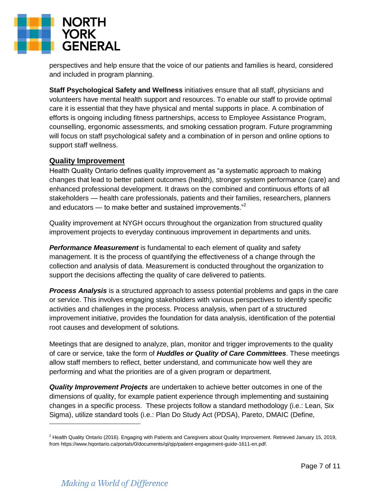

perspectives and help ensure that the voice of our patients and families is heard, considered and included in program planning.

**Staff Psychological Safety and Wellness** initiatives ensure that all staff, physicians and volunteers have mental health support and resources. To enable our staff to provide optimal care it is essential that they have physical and mental supports in place. A combination of efforts is ongoing including fitness partnerships, access to Employee Assistance Program, counselling, ergonomic assessments, and smoking cessation program. Future programming will focus on staff psychological safety and a combination of in person and online options to support staff wellness.

#### <span id="page-6-0"></span>**Quality Improvement**

Health Quality Ontario defines quality improvement as "a systematic approach to making changes that lead to better patient outcomes (health), stronger system performance (care) and enhanced professional development. It draws on the combined and continuous efforts of all stakeholders — health care professionals, patients and their families, researchers, planners and educators — to make better and sustained improvements."<sup>2</sup>

Quality improvement at NYGH occurs throughout the organization from structured quality improvement projects to everyday continuous improvement in departments and units.

*Performance Measurement* is fundamental to each element of quality and safety management. It is the process of quantifying the effectiveness of a change through the collection and analysis of data. Measurement is conducted throughout the organization to support the decisions affecting the quality of care delivered to patients.

*Process Analysis* is a structured approach to assess potential problems and gaps in the care or service. This involves engaging stakeholders with various perspectives to identify specific activities and challenges in the process. Process analysis, when part of a structured improvement initiative, provides the foundation for data analysis, identification of the potential root causes and development of solutions.

Meetings that are designed to analyze, plan, monitor and trigger improvements to the quality of care or service, take the form of *Huddles or Quality of Care Committees*. These meetings allow staff members to reflect, better understand, and communicate how well they are performing and what the priorities are of a given program or department.

*Quality Improvement Projects* are undertaken to achieve better outcomes in one of the dimensions of quality, for example patient experience through implementing and sustaining changes in a specific process. These projects follow a standard methodology (i.e.: Lean, Six Sigma), utilize standard tools (i.e.: Plan Do Study Act (PDSA), Pareto, DMAIC (Define,

 $^2$  Health Quality Ontario (2016). Engaging with Patients and Caregivers about Quality Improvement. Retrieved January 15, 2019, from https://www.hqontario.ca/portals/0/documents/qi/qip/patient-engagement-guide-1611-en.pdf.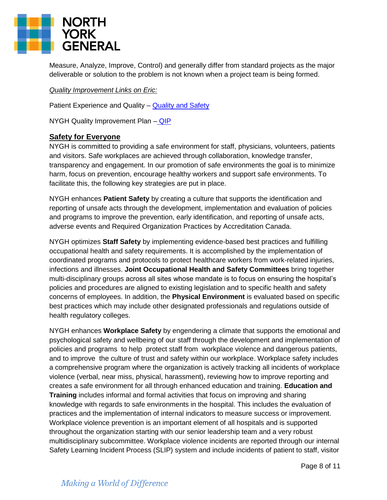

Measure, Analyze, Improve, Control) and generally differ from standard projects as the major deliverable or solution to the problem is not known when a project team is being formed.

#### *Quality Improvement Links on Eric:*

Patient Experience and Quality – [Quality and Safety](http://eric/Default.aspx?cid=1518&lang=1)

NYGH Quality Improvement Plan - **[QIP](http://www.nygh.on.ca/Default.aspx?cid=1251&lang=1)** 

#### <span id="page-7-0"></span>**Safety for Everyone**

NYGH is committed to providing a safe environment for staff, physicians, volunteers, patients and visitors. Safe workplaces are achieved through collaboration, knowledge transfer, transparency and engagement. In our promotion of safe environments the goal is to minimize harm, focus on prevention, encourage healthy workers and support safe environments. To facilitate this, the following key strategies are put in place.

NYGH enhances **Patient Safety** by creating a culture that supports the identification and reporting of unsafe acts through the development, implementation and evaluation of policies and programs to improve the prevention, early identification, and reporting of unsafe acts, adverse events and Required Organization Practices by Accreditation Canada.

NYGH optimizes **Staff Safety** by implementing evidence-based best practices and fulfilling occupational health and safety requirements. It is accomplished by the implementation of coordinated programs and protocols to protect healthcare workers from work-related injuries, infections and illnesses. **Joint Occupational Health and Safety Committees** bring together multi-disciplinary groups across all sites whose mandate is to focus on ensuring the hospital's policies and procedures are aligned to existing legislation and to specific health and safety concerns of employees. In addition, the **Physical Environment** is evaluated based on specific best practices which may include other designated professionals and regulations outside of health regulatory colleges.

NYGH enhances **Workplace Safety** by engendering a climate that supports the emotional and psychological safety and wellbeing of our staff through the development and implementation of policies and programs to help protect staff from workplace violence and dangerous patients, and to improve the culture of trust and safety within our workplace. Workplace safety includes a comprehensive program where the organization is actively tracking all incidents of workplace violence (verbal, near miss, physical, harassment), reviewing how to improve reporting and creates a safe environment for all through enhanced education and training. **Education and Training** includes informal and formal activities that focus on improving and sharing knowledge with regards to safe environments in the hospital. This includes the evaluation of practices and the implementation of internal indicators to measure success or improvement. Workplace violence prevention is an important element of all hospitals and is supported throughout the organization starting with our senior leadership team and a very robust multidisciplinary subcommittee. Workplace violence incidents are reported through our internal Safety Learning Incident Process (SLIP) system and include incidents of patient to staff, visitor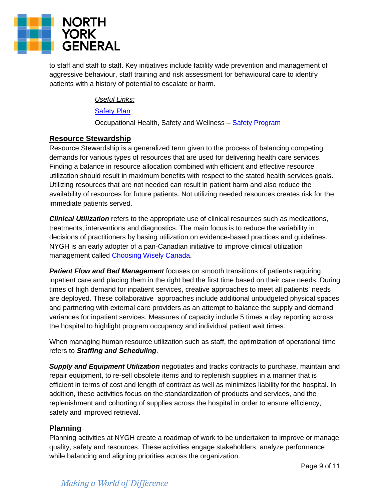

to staff and staff to staff. Key initiatives include facility wide prevention and management of aggressive behaviour, staff training and risk assessment for behavioural care to identify patients with a history of potential to escalate or harm.

*Useful Links:*

#### [Safety Plan](http://eric/Default.aspx?cid=1633&lang=1)

Occupational Health, Safety and Wellness – [Safety Program](http://eric/Default.aspx?cid=867&lang=1)

#### <span id="page-8-0"></span>**Resource Stewardship**

Resource Stewardship is a generalized term given to the process of balancing competing demands for various types of resources that are used for delivering health care services. Finding a balance in resource allocation combined with efficient and effective resource utilization should result in maximum benefits with respect to the stated health services goals. Utilizing resources that are not needed can result in patient harm and also reduce the availability of resources for future patients. Not utilizing needed resources creates risk for the immediate patients served.

*Clinical Utilization* refers to the appropriate use of clinical resources such as medications, treatments, interventions and diagnostics. The main focus is to reduce the variability in decisions of practitioners by basing utilization on evidence-based practices and guidelines. NYGH is an early adopter of a pan-Canadian initiative to improve clinical utilization management called [Choosing Wisely](http://www.choosingwiselycanada.org/about/what-is-cwc/) Canada.

*Patient Flow and Bed Management* focuses on smooth transitions of patients requiring inpatient care and placing them in the right bed the first time based on their care needs. During times of high demand for inpatient services, creative approaches to meet all patients' needs are deployed. These collaborative approaches include additional unbudgeted physical spaces and partnering with external care providers as an attempt to balance the supply and demand variances for inpatient services. Measures of capacity include 5 times a day reporting across the hospital to highlight program occupancy and individual patient wait times.

When managing human resource utilization such as staff, the optimization of operational time refers to *Staffing and Scheduling*.

*Supply and Equipment Utilization* negotiates and tracks contracts to purchase, maintain and repair equipment, to re-sell obsolete items and to replenish supplies in a manner that is efficient in terms of cost and length of contract as well as minimizes liability for the hospital. In addition, these activities focus on the standardization of products and services, and the replenishment and cohorting of supplies across the hospital in order to ensure efficiency, safety and improved retrieval.

#### <span id="page-8-1"></span>**Planning**

Planning activities at NYGH create a roadmap of work to be undertaken to improve or manage quality, safety and resources. These activities engage stakeholders; analyze performance while balancing and aligning priorities across the organization.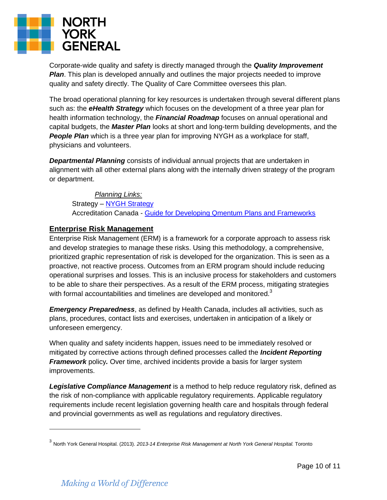

Corporate-wide quality and safety is directly managed through the *Quality Improvement Plan*. This plan is developed annually and outlines the major projects needed to improve quality and safety directly. The Quality of Care Committee oversees this plan.

The broad operational planning for key resources is undertaken through several different plans such as: the *eHealth Strategy* which focuses on the development of a three year plan for health information technology, the *Financial Roadmap* focuses on annual operational and capital budgets, the *Master Plan* looks at short and long-term building developments, and the **People Plan** which is a three year plan for improving NYGH as a workplace for staff, physicians and volunteers.

*Departmental Planning* consists of individual annual projects that are undertaken in alignment with all other external plans along with the internally driven strategy of the program or department.

*Planning Links:* Strategy - [NYGH Strategy](http://eric/Default.aspx?cid=105&lang=1) Accreditation Canada - [Guide for Developing Qmentum Plans and Frameworks](http://ontario.cmha.ca/files/2012/12/accreditation_canada_qmentum_plans_and_frameworks_guide.pdf)

#### <span id="page-9-0"></span>**Enterprise Risk Management**

Enterprise Risk Management (ERM) is a framework for a corporate approach to assess risk and develop strategies to manage these risks. Using this methodology, a comprehensive, prioritized graphic representation of risk is developed for the organization. This is seen as a proactive, not reactive process. Outcomes from an ERM program should include reducing operational surprises and losses. This is an inclusive process for stakeholders and customers to be able to share their perspectives. As a result of the ERM process, mitigating strategies with formal accountabilities and timelines are developed and monitored.<sup>3</sup>

*Emergency Preparedness*, as defined by Health Canada, includes all activities, such as plans, procedures, contact lists and exercises, undertaken in anticipation of a likely or unforeseen emergency.

When quality and safety incidents happen, issues need to be immediately resolved or mitigated by corrective actions through defined processes called the *Incident Reporting Framework* policy*.* Over time, archived incidents provide a basis for larger system improvements.

*Legislative Compliance Management* is a method to help reduce regulatory risk, defined as the risk of non-compliance with applicable regulatory requirements. Applicable regulatory requirements include recent legislation governing health care and hospitals through federal and provincial governments as well as regulations and regulatory directives.

 $\overline{a}$ 

<sup>3</sup> North York General Hospital. (2013). *2013-14 Enterprise Risk Management at North York General Hospital.* Toronto